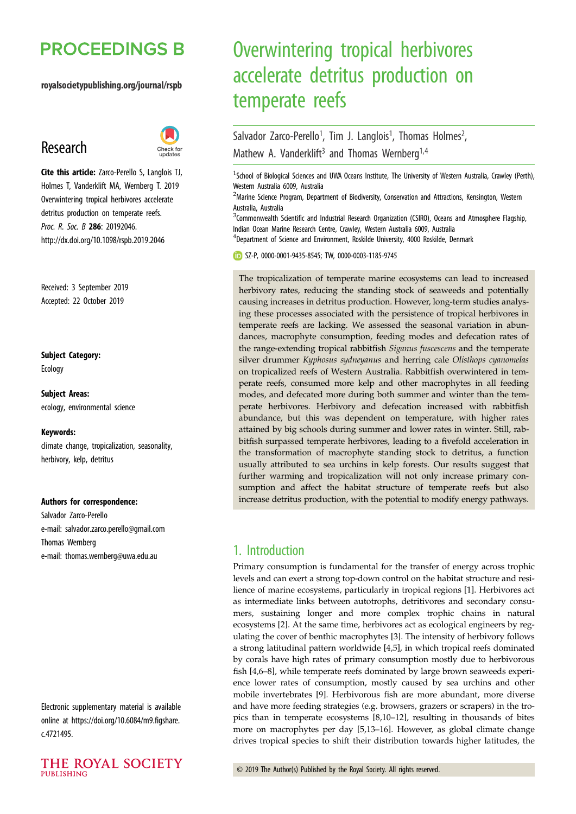# **PROCEEDINGS B**

royalsocietypublishing.org/journal/rspb

# Research



Cite this article: Zarco-Perello S, Langlois TJ, Holmes T, Vanderklift MA, Wernberg T. 2019 Overwintering tropical herbivores accelerate detritus production on temperate reefs. Proc. R. Soc. B 286: 20192046. http://dx.doi.org/10.1098/rspb.2019.2046

Received: 3 September 2019 Accepted: 22 October 2019

# Subject Category:

Ecology

Subject Areas: ecology, environmental science

#### Keywords:

climate change, tropicalization, seasonality, herbivory, kelp, detritus

#### Authors for correspondence:

Salvador Zarco-Perello e-mail: [salvador.zarco.perello@gmail.com](mailto:salvador.zarco.perello@gmail.com) Thomas Wernberg e-mail: [thomas.wernberg@uwa.edu.au](mailto:thomas.wernberg@uwa.edu.au)

Electronic supplementary material is available online at [https://doi.org/10.6084/m9.figshare.](https://doi.org/10.6084/m9.figshare.c.4721495) [c.4721495.](https://doi.org/10.6084/m9.figshare.c.4721495)



# Overwintering tropical herbivores accelerate detritus production on temperate reefs

#### Salvador Zarco-Perello<sup>1</sup>, Tim J. Langlois<sup>1</sup>, Thomas Holmes<sup>2</sup> , Mathew A. Vanderklift<sup>3</sup> and Thomas Wernberg<sup>1,4</sup>

<sup>1</sup>School of Biological Sciences and UWA Oceans Institute, The University of Western Australia, Crawley (Perth), Western Australia 6009, Australia

<sup>2</sup>Marine Science Program, Department of Biodiversity, Conservation and Attractions, Kensington, Western Australia, Australia

<sup>3</sup>Commonwealth Scientific and Industrial Research Organization (CSIRO), Oceans and Atmosphere Flagship, Indian Ocean Marine Research Centre, Crawley, Western Australia 6009, Australia

<sup>4</sup>Department of Science and Environment, Roskilde University, 4000 Roskilde, Denmark

SZ-P, [0000-0001-9435-8545](http://orcid.org/0000-0001-9435-8545); TW, [0000-0003-1185-9745](http://orcid.org/0000-0003-1185-9745)

The tropicalization of temperate marine ecosystems can lead to increased herbivory rates, reducing the standing stock of seaweeds and potentially causing increases in detritus production. However, long-term studies analysing these processes associated with the persistence of tropical herbivores in temperate reefs are lacking. We assessed the seasonal variation in abundances, macrophyte consumption, feeding modes and defecation rates of the range-extending tropical rabbitfish Siganus fuscescens and the temperate silver drummer Kyphosus sydneyanus and herring cale Olisthops cyanomelas on tropicalized reefs of Western Australia. Rabbitfish overwintered in temperate reefs, consumed more kelp and other macrophytes in all feeding modes, and defecated more during both summer and winter than the temperate herbivores. Herbivory and defecation increased with rabbitfish abundance, but this was dependent on temperature, with higher rates attained by big schools during summer and lower rates in winter. Still, rabbitfish surpassed temperate herbivores, leading to a fivefold acceleration in the transformation of macrophyte standing stock to detritus, a function usually attributed to sea urchins in kelp forests. Our results suggest that further warming and tropicalization will not only increase primary consumption and affect the habitat structure of temperate reefs but also increase detritus production, with the potential to modify energy pathways.

# 1. Introduction

Primary consumption is fundamental for the transfer of energy across trophic levels and can exert a strong top-down control on the habitat structure and resilience of marine ecosystems, particularly in tropical regions [[1](#page-6-0)]. Herbivores act as intermediate links between autotrophs, detritivores and secondary consumers, sustaining longer and more complex trophic chains in natural ecosystems [\[2\]](#page-6-0). At the same time, herbivores act as ecological engineers by regulating the cover of benthic macrophytes [[3](#page-7-0)]. The intensity of herbivory follows a strong latitudinal pattern worldwide [\[4,5\]](#page-7-0), in which tropical reefs dominated by corals have high rates of primary consumption mostly due to herbivorous fish [[4](#page-7-0),[6](#page-7-0)–[8](#page-7-0)], while temperate reefs dominated by large brown seaweeds experience lower rates of consumption, mostly caused by sea urchins and other mobile invertebrates [[9](#page-7-0)]. Herbivorous fish are more abundant, more diverse and have more feeding strategies (e.g. browsers, grazers or scrapers) in the tropics than in temperate ecosystems [\[8,10](#page-7-0)–[12](#page-7-0)], resulting in thousands of bites more on macrophytes per day [\[5,13](#page-7-0)–[16](#page-7-0)]. However, as global climate change drives tropical species to shift their distribution towards higher latitudes, the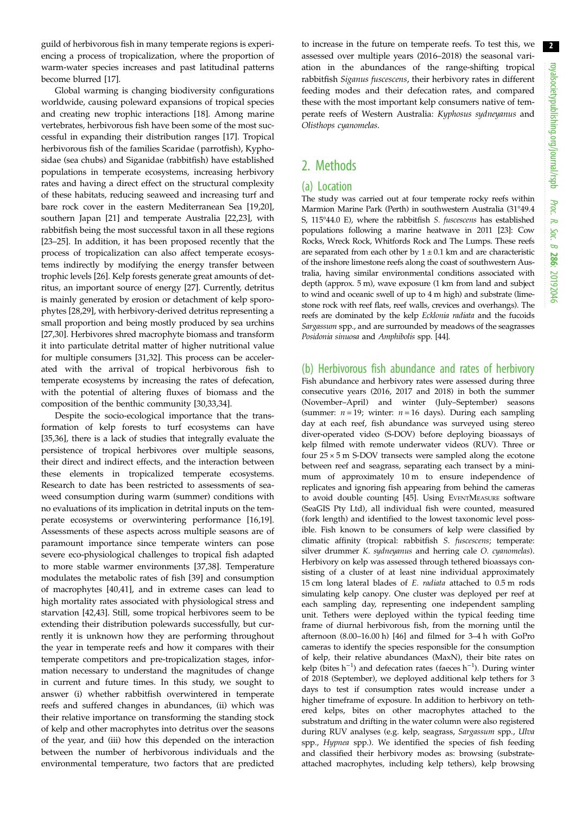guild of herbivorous fish in many temperate regions is experiencing a process of tropicalization, where the proportion of warm-water species increases and past latitudinal patterns become blurred [[17\]](#page-7-0).

Global warming is changing biodiversity configurations worldwide, causing poleward expansions of tropical species and creating new trophic interactions [\[18](#page-7-0)]. Among marine vertebrates, herbivorous fish have been some of the most successful in expanding their distribution ranges [\[17](#page-7-0)]. Tropical herbivorous fish of the families Scaridae (parrotfish), Kyphosidae (sea chubs) and Siganidae (rabbitfish) have established populations in temperate ecosystems, increasing herbivory rates and having a direct effect on the structural complexity of these habitats, reducing seaweed and increasing turf and bare rock cover in the eastern Mediterranean Sea [\[19,20](#page-7-0)], southern Japan [[21\]](#page-7-0) and temperate Australia [\[22](#page-7-0),[23\]](#page-7-0), with rabbitfish being the most successful taxon in all these regions [\[23](#page-7-0)–[25\]](#page-7-0). In addition, it has been proposed recently that the process of tropicalization can also affect temperate ecosystems indirectly by modifying the energy transfer between trophic levels [[26\]](#page-7-0). Kelp forests generate great amounts of detritus, an important source of energy [\[27](#page-7-0)]. Currently, detritus is mainly generated by erosion or detachment of kelp sporophytes [[28,29](#page-7-0)], with herbivory-derived detritus representing a small proportion and being mostly produced by sea urchins [\[27](#page-7-0),[30\]](#page-7-0). Herbivores shred macrophyte biomass and transform it into particulate detrital matter of higher nutritional value for multiple consumers [[31,32\]](#page-7-0). This process can be accelerated with the arrival of tropical herbivorous fish to temperate ecosystems by increasing the rates of defecation, with the potential of altering fluxes of biomass and the composition of the benthic community [\[30](#page-7-0),[33,34\]](#page-7-0).

Despite the socio-ecological importance that the transformation of kelp forests to turf ecosystems can have [\[35](#page-7-0),[36\]](#page-7-0), there is a lack of studies that integrally evaluate the persistence of tropical herbivores over multiple seasons, their direct and indirect effects, and the interaction between these elements in tropicalized temperate ecosystems. Research to date has been restricted to assessments of seaweed consumption during warm (summer) conditions with no evaluations of its implication in detrital inputs on the temperate ecosystems or overwintering performance [\[16,19](#page-7-0)]. Assessments of these aspects across multiple seasons are of paramount importance since temperate winters can pose severe eco-physiological challenges to tropical fish adapted to more stable warmer environments [\[37](#page-7-0),[38\]](#page-7-0). Temperature modulates the metabolic rates of fish [[39\]](#page-7-0) and consumption of macrophytes [\[40,41](#page-7-0)], and in extreme cases can lead to high mortality rates associated with physiological stress and starvation [\[42,43](#page-7-0)]. Still, some tropical herbivores seem to be extending their distribution polewards successfully, but currently it is unknown how they are performing throughout the year in temperate reefs and how it compares with their temperate competitors and pre-tropicalization stages, information necessary to understand the magnitudes of change in current and future times. In this study, we sought to answer (i) whether rabbitfish overwintered in temperate reefs and suffered changes in abundances, (ii) which was their relative importance on transforming the standing stock of kelp and other macrophytes into detritus over the seasons of the year, and (iii) how this depended on the interaction between the number of herbivorous individuals and the environmental temperature, two factors that are predicted to increase in the future on temperate reefs. To test this, we assessed over multiple years (2016–2018) the seasonal variation in the abundances of the range-shifting tropical rabbitfish Siganus fuscescens, their herbivory rates in different feeding modes and their defecation rates, and compared these with the most important kelp consumers native of temperate reefs of Western Australia: Kyphosus sydneyanus and Olisthops cyanomelas.

# 2. Methods

## (a) Location

The study was carried out at four temperate rocky reefs within Marmion Marine Park (Perth) in southwestern Australia (31°49.4 S, 115°44.0 E), where the rabbitfish S. fuscescens has established populations following a marine heatwave in 2011 [\[23\]](#page-7-0): Cow Rocks, Wreck Rock, Whitfords Rock and The Lumps. These reefs are separated from each other by  $1 \pm 0.1$  km and are characteristic of the inshore limestone reefs along the coast of southwestern Australia, having similar environmental conditions associated with depth (approx. 5 m), wave exposure (1 km from land and subject to wind and oceanic swell of up to 4 m high) and substrate (limestone rock with reef flats, reef walls, crevices and overhangs). The reefs are dominated by the kelp Ecklonia radiata and the fucoids Sargassum spp., and are surrounded by meadows of the seagrasses Posidonia sinuosa and Amphibolis spp. [[44\]](#page-7-0).

### (b) Herbivorous fish abundance and rates of herbivory

Fish abundance and herbivory rates were assessed during three consecutive years (2016, 2017 and 2018) in both the summer (November–April) and winter (July–September) seasons (summer:  $n = 19$ ; winter:  $n = 16$  days). During each sampling day at each reef, fish abundance was surveyed using stereo diver-operated video (S-DOV) before deploying bioassays of kelp filmed with remote underwater videos (RUV). Three or four  $25 \times 5$  m S-DOV transects were sampled along the ecotone between reef and seagrass, separating each transect by a minimum of approximately 10 m to ensure independence of replicates and ignoring fish appearing from behind the cameras to avoid double counting [\[45\]](#page-7-0). Using EVENTMEASURE software (SeaGIS Pty Ltd), all individual fish were counted, measured (fork length) and identified to the lowest taxonomic level possible. Fish known to be consumers of kelp were classified by climatic affinity (tropical: rabbitfish S. fuscescens; temperate: silver drummer K. sydneyanus and herring cale O. cyanomelas). Herbivory on kelp was assessed through tethered bioassays consisting of a cluster of at least nine individual approximately 15 cm long lateral blades of E. radiata attached to 0.5 m rods simulating kelp canopy. One cluster was deployed per reef at each sampling day, representing one independent sampling unit. Tethers were deployed within the typical feeding time frame of diurnal herbivorous fish, from the morning until the afternoon (8.00–16.00 h) [[46](#page-8-0)] and filmed for 3–4 h with GoPro cameras to identify the species responsible for the consumption of kelp, their relative abundances (MaxN), their bite rates on kelp (bites  $h^{-1}$ ) and defecation rates (faeces  $h^{-1}$ ). During winter of 2018 (September), we deployed additional kelp tethers for 3 days to test if consumption rates would increase under a higher timeframe of exposure. In addition to herbivory on tethered kelps, bites on other macrophytes attached to the substratum and drifting in the water column were also registered during RUV analyses (e.g. kelp, seagrass, Sargassum spp., Ulva spp., Hypnea spp.). We identified the species of fish feeding and classified their herbivory modes as: browsing (substrateattached macrophytes, including kelp tethers), kelp browsing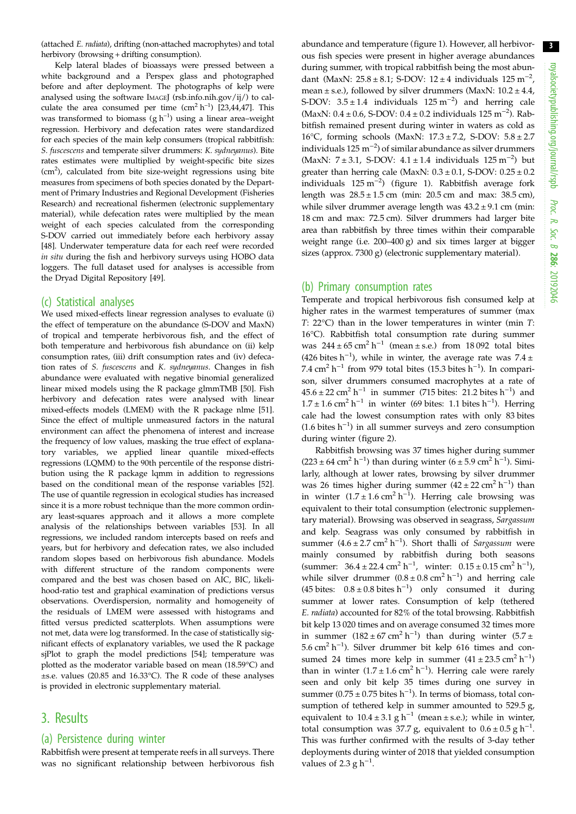(attached E. radiata), drifting (non-attached macrophytes) and total herbivory (browsing + drifting consumption).

Kelp lateral blades of bioassays were pressed between a white background and a Perspex glass and photographed before and after deployment. The photographs of kelp were analysed using the software IMAGEJ (rsb.info.nih.gov/ij/) to calculate the area consumed per time  $(cm<sup>2</sup> h<sup>-1</sup>)$  [\[23,44](#page-7-0)[,47\]](#page-8-0). This was transformed to biomass  $(g h^{-1})$  using a linear area-weight regression. Herbivory and defecation rates were standardized for each species of the main kelp consumers (tropical rabbitfish: S. fuscescens and temperate silver drummers: K. sydneyanus). Bite rates estimates were multiplied by weight-specific bite sizes (cm<sup>2</sup>), calculated from bite size-weight regressions using bite measures from specimens of both species donated by the Department of Primary Industries and Regional Development (Fisheries Research) and recreational fishermen (electronic supplementary material), while defecation rates were multiplied by the mean weight of each species calculated from the corresponding S-DOV carried out immediately before each herbivory assay [\[48\]](#page-8-0). Underwater temperature data for each reef were recorded in situ during the fish and herbivory surveys using HOBO data loggers. The full dataset used for analyses is accessible from the Dryad Digital Repository [[49](#page-8-0)].

#### (c) Statistical analyses

We used mixed-effects linear regression analyses to evaluate (i) the effect of temperature on the abundance (S-DOV and MaxN) of tropical and temperate herbivorous fish, and the effect of both temperature and herbivorous fish abundance on (ii) kelp consumption rates, (iii) drift consumption rates and (iv) defecation rates of S. fuscescens and K. sydneyanus. Changes in fish abundance were evaluated with negative binomial generalized linear mixed models using the R package glmmTMB [\[50\]](#page-8-0). Fish herbivory and defecation rates were analysed with linear mixed-effects models (LMEM) with the R package nlme [\[51\]](#page-8-0). Since the effect of multiple unmeasured factors in the natural environment can affect the phenomena of interest and increase the frequency of low values, masking the true effect of explanatory variables, we applied linear quantile mixed-effects regressions (LQMM) to the 90th percentile of the response distribution using the R package lqmm in addition to regressions based on the conditional mean of the response variables [\[52\]](#page-8-0). The use of quantile regression in ecological studies has increased since it is a more robust technique than the more common ordinary least-squares approach and it allows a more complete analysis of the relationships between variables [[53](#page-8-0)]. In all regressions, we included random intercepts based on reefs and years, but for herbivory and defecation rates, we also included random slopes based on herbivorous fish abundance. Models with different structure of the random components were compared and the best was chosen based on AIC, BIC, likelihood-ratio test and graphical examination of predictions versus observations. Overdispersion, normality and homogeneity of the residuals of LMEM were assessed with histograms and fitted versus predicted scatterplots. When assumptions were not met, data were log transformed. In the case of statistically significant effects of explanatory variables, we used the R package sjPlot to graph the model predictions [[54](#page-8-0)]; temperature was plotted as the moderator variable based on mean (18.59°C) and ±s.e. values (20.85 and 16.33°C). The R code of these analyses is provided in electronic supplementary material.

# 3. Results

## (a) Persistence during winter

Rabbitfish were present at temperate reefs in all surveys. There was no significant relationship between herbivorous fish abundance and temperature [\(figure 1\)](#page-3-0). However, all herbivorous fish species were present in higher average abundances during summer, with tropical rabbitfish being the most abundant (MaxN:  $25.8 \pm 8.1$ ; S-DOV:  $12 \pm 4$  individuals  $125 \text{ m}^{-2}$ , mean  $\pm$  s.e.), followed by silver drummers (MaxN:  $10.2 \pm 4.4$ , S-DOV:  $3.5 \pm 1.4$  individuals  $125 \text{ m}^{-2}$  and herring cale (MaxN: 0.4 ± 0.6, S-DOV: 0.4 ± 0.2 individuals 125 m−<sup>2</sup> ). Rabbitfish remained present during winter in waters as cold as 16°C, forming schools (MaxN: 17.3 ± 7.2, S-DOV: 5.8 ± 2.7 individuals  $125 \text{ m}^{-2}$ ) of similar abundance as silver drummers (MaxN: 7 ± 3.1, S-DOV: 4.1 ± 1.4 individuals 125 m−<sup>2</sup> ) but greater than herring cale (MaxN:  $0.3 \pm 0.1$ , S-DOV:  $0.25 \pm 0.2$ individuals 125 m−<sup>2</sup> ) [\(figure 1](#page-3-0)). Rabbitfish average fork length was  $28.5 \pm 1.5$  cm (min: 20.5 cm and max: 38.5 cm), while silver drummer average length was  $43.2 \pm 9.1$  cm (min: 18 cm and max: 72.5 cm). Silver drummers had larger bite area than rabbitfish by three times within their comparable weight range (i.e. 200–400 g) and six times larger at bigger sizes (approx. 7300 g) (electronic supplementary material).

#### (b) Primary consumption rates

Temperate and tropical herbivorous fish consumed kelp at higher rates in the warmest temperatures of summer (max T: 22°C) than in the lower temperatures in winter (min T: 16°C). Rabbitfish total consumption rate during summer was  $244 \pm 65$  cm<sup>2</sup> h<sup>-1</sup> (mean  $\pm$  s.e.) from 18 092 total bites (426 bites h<sup>-1</sup>), while in winter, the average rate was  $7.4 \pm$ 7.4 cm<sup>2</sup> h<sup>-1</sup> from 979 total bites (15.3 bites h<sup>-1</sup>). In comparison, silver drummers consumed macrophytes at a rate of  $45.6 \pm 22$  cm<sup>2</sup> h<sup>-1</sup> in summer (715 bites: 21.2 bites h<sup>-1</sup>) and  $1.7 \pm 1.6$  cm<sup>2</sup> h<sup>-1</sup> in winter (69 bites: 1.1 bites h<sup>-1</sup>). Herring cale had the lowest consumption rates with only 83 bites (1.6 bites h−<sup>1</sup> ) in all summer surveys and zero consumption during winter [\(figure 2\)](#page-3-0).

Rabbitfish browsing was 37 times higher during summer  $(223 \pm 64 \text{ cm}^2 \text{ h}^{-1})$  than during winter  $(6 \pm 5.9 \text{ cm}^2 \text{ h}^{-1})$ . Similarly, although at lower rates, browsing by silver drummer was 26 times higher during summer  $(42 \pm 22 \text{ cm}^2 \text{ h}^{-1})$  than in winter  $(1.7 \pm 1.6 \text{ cm}^2 \text{ h}^{-1})$ . Herring cale browsing was equivalent to their total consumption (electronic supplementary material). Browsing was observed in seagrass, Sargassum and kelp. Seagrass was only consumed by rabbitfish in summer  $(4.6 \pm 2.7 \text{ cm}^2 \text{ h}^{-1})$ . Short thalli of *Sargassum* were mainly consumed by rabbitfish during both seasons (summer:  $36.4 \pm 22.4 \text{ cm}^2 \text{ h}^{-1}$ , winter:  $0.15 \pm 0.15 \text{ cm}^2 \text{ h}^{-1}$ ), while silver drummer  $(0.8 \pm 0.8 \text{ cm}^2 \text{ h}^{-1})$  and herring cale (45 bites:  $0.8 \pm 0.8$  bites h<sup>-1</sup>) only consumed it during summer at lower rates. Consumption of kelp (tethered E. radiata) accounted for 82% of the total browsing. Rabbitfish bit kelp 13 020 times and on average consumed 32 times more in summer  $(182 \pm 67 \text{ cm}^2 \text{ h}^{-1})$  than during winter  $(5.7 \pm$ 5.6 cm<sup>2</sup> h<sup>-1</sup>). Silver drummer bit kelp 616 times and consumed 24 times more kelp in summer  $(41 \pm 23.5 \text{ cm}^2 \text{ h}^{-1})$ than in winter  $(1.7 \pm 1.6 \text{ cm}^2 \text{ h}^{-1})$ . Herring cale were rarely seen and only bit kelp 35 times during one survey in summer (0.75 ± 0.75 bites  $h^{-1}$ ). In terms of biomass, total consumption of tethered kelp in summer amounted to  $529.5$  g, equivalent to  $10.4 \pm 3.1$  g h<sup>-1</sup> (mean ± s.e.); while in winter, total consumption was 37.7 g, equivalent to  $0.6 \pm 0.5$  g h<sup>-1</sup>. This was further confirmed with the results of 3-day tether deployments during winter of 2018 that yielded consumption values of 2.3  $\text{g h}^{-1}$ .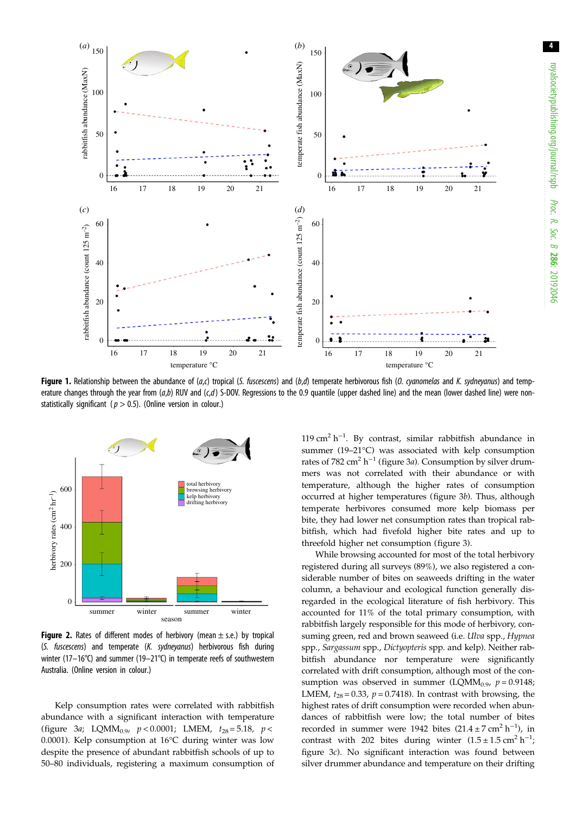<span id="page-3-0"></span>

Figure 1. Relationship between the abundance of  $(a, c)$  tropical (S. fuscescens) and  $(b, d)$  temperate herbivorous fish (O. cyanomelas and K. sydneyanus) and temperature changes through the year from  $(a,b)$  RUV and  $(c,d)$  S-DOV. Regressions to the 0.9 quantile (upper dashed line) and the mean (lower dashed line) were nonstatistically significant ( $p > 0.5$ ). (Online version in colour.)



**Figure 2.** Rates of different modes of herbivory (mean  $\pm$  s.e.) by tropical (S. fuscescens) and temperate (K. sydneyanus) herbivorous fish during winter (17–16°C) and summer (19–21°C) in temperate reefs of southwestern Australia. (Online version in colour.)

Kelp consumption rates were correlated with rabbitfish abundance with a significant interaction with temperature [\(figure 3](#page-4-0)a; LQMM<sub>0.9</sub>,  $p < 0.0001$ ; LMEM,  $t_{28} = 5.18$ ,  $p <$ 0.0001). Kelp consumption at 16°C during winter was low despite the presence of abundant rabbitfish schools of up to 50–80 individuals, registering a maximum consumption of

119 cm<sup>2</sup> h<sup>-1</sup>. By contrast, similar rabbitfish abundance in summer (19–21°C) was associated with kelp consumption rates of 782 cm<sup>2</sup> h<sup>-1</sup> ([figure 3](#page-4-0)a). Consumption by silver drummers was not correlated with their abundance or with temperature, although the higher rates of consumption occurred at higher temperatures [\(figure 3](#page-4-0)b). Thus, although temperate herbivores consumed more kelp biomass per bite, they had lower net consumption rates than tropical rabbitfish, which had fivefold higher bite rates and up to threefold higher net consumption ([figure 3](#page-4-0)).

While browsing accounted for most of the total herbivory registered during all surveys (89%), we also registered a considerable number of bites on seaweeds drifting in the water column, a behaviour and ecological function generally disregarded in the ecological literature of fish herbivory. This accounted for 11% of the total primary consumption, with rabbitfish largely responsible for this mode of herbivory, consuming green, red and brown seaweed (i.e. *Ulva* spp., *Hypnea* spp., Sargassum spp., Dictyopteris spp. and kelp). Neither rabbitfish abundance nor temperature were significantly correlated with drift consumption, although most of the consumption was observed in summer (LQMM<sub>0.9</sub>,  $p = 0.9148$ ; LMEM,  $t_{28} = 0.33$ ,  $p = 0.7418$ ). In contrast with browsing, the highest rates of drift consumption were recorded when abundances of rabbitfish were low; the total number of bites recorded in summer were 1942 bites  $(21.4 \pm 7 \text{ cm}^2 \text{ h}^{-1})$ , in contrast with 202 bites during winter  $(1.5 \pm 1.5 \text{ cm}^2 \text{ h}^{-1})$ [figure 3](#page-4-0)c). No significant interaction was found between silver drummer abundance and temperature on their drifting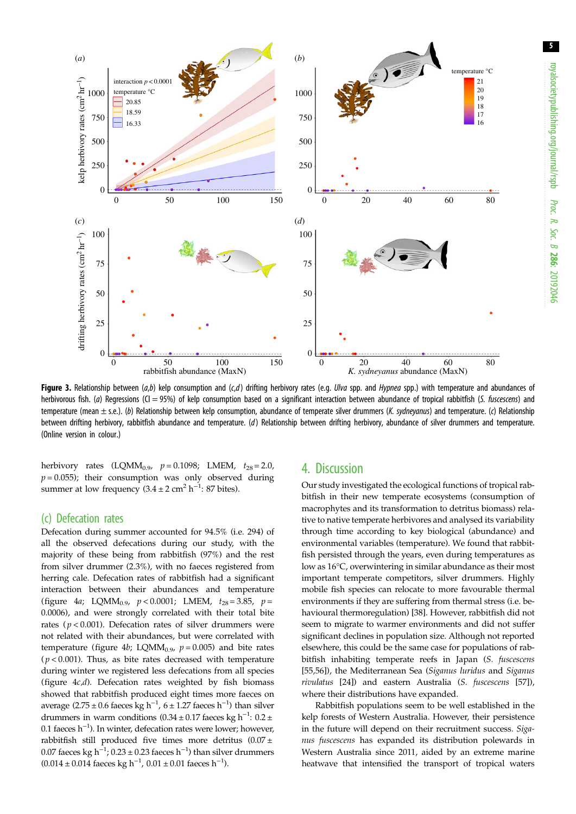<span id="page-4-0"></span>

Figure 3. Relationship between (a,b) kelp consumption and (c,d) drifting herbivory rates (e.g. *Ulva* spp. and *Hypnea* spp.) with temperature and abundances of herbivorous fish. (a) Regressions (CI = 95%) of kelp consumption based on a significant interaction between abundance of tropical rabbitfish (S. fuscescens) and temperature (mean  $\pm$  s.e.). (b) Relationship between kelp consumption, abundance of temperate silver drummers (K. sydneyanus) and temperature. (c) Relationship between drifting herbivory, rabbitfish abundance and temperature. (d) Relationship between drifting herbivory, abundance of silver drummers and temperature. (Online version in colour.)

herbivory rates  $(LQMM_{0.9}, p = 0.1098; LMEM, t_{28} = 2.0,$  $p = 0.055$ ); their consumption was only observed during summer at low frequency  $(3.4 \pm 2 \text{ cm}^2 \text{ h}^{-1}$ : 87 bites).

### (c) Defecation rates

Defecation during summer accounted for 94.5% (i.e. 294) of all the observed defecations during our study, with the majority of these being from rabbitfish (97%) and the rest from silver drummer (2.3%), with no faeces registered from herring cale. Defecation rates of rabbitfish had a significant interaction between their abundances and temperature [\(figure 4](#page-5-0)a; LQMM<sub>0.9</sub>,  $p < 0.0001$ ; LMEM,  $t_{28} = 3.85$ ,  $p =$ 0.0006), and were strongly correlated with their total bite rates ( $p < 0.001$ ). Defecation rates of silver drummers were not related with their abundances, but were correlated with temperature ([figure 4](#page-5-0)b; LQMM<sub>0.9</sub>,  $p = 0.005$ ) and bite rates  $(p < 0.001)$ . Thus, as bite rates decreased with temperature during winter we registered less defecations from all species (figure  $4c,d$ ). Defecation rates weighted by fish biomass showed that rabbitfish produced eight times more faeces on average (2.75 ± 0.6 faeces kg h<sup>-1</sup>, 6 ± 1.27 faeces h<sup>-1</sup>) than silver drummers in warm conditions (0.34 ± 0.17 faeces kg h<sup>-1</sup>: 0.2 ± 0.1 faeces h−<sup>1</sup> ). In winter, defecation rates were lower; however, rabbitfish still produced five times more detritus  $(0.07 \pm$ 0.07 faeces kg h<sup>-1</sup>; 0.23 ± 0.23 faeces h<sup>-1</sup>) than silver drummers  $(0.014 \pm 0.014$  faeces kg h<sup>-1</sup>,  $0.01 \pm 0.01$  faeces h<sup>-1</sup>).

# 4. Discussion

Our study investigated the ecological functions of tropical rabbitfish in their new temperate ecosystems (consumption of macrophytes and its transformation to detritus biomass) relative to native temperate herbivores and analysed its variability through time according to key biological (abundance) and environmental variables (temperature). We found that rabbitfish persisted through the years, even during temperatures as low as 16°C, overwintering in similar abundance as their most important temperate competitors, silver drummers. Highly mobile fish species can relocate to more favourable thermal environments if they are suffering from thermal stress (i.e. behavioural thermoregulation) [\[38](#page-7-0)]. However, rabbitfish did not seem to migrate to warmer environments and did not suffer significant declines in population size. Although not reported elsewhere, this could be the same case for populations of rabbitfish inhabiting temperate reefs in Japan (S. fuscescens [[55,56\]](#page-8-0)), the Mediterranean Sea (Siganus luridus and Siganus rivulatus [[24\]](#page-7-0)) and eastern Australia (S. fuscescens [[57\]](#page-8-0)), where their distributions have expanded.

Rabbitfish populations seem to be well established in the kelp forests of Western Australia. However, their persistence in the future will depend on their recruitment success. Siganus fuscescens has expanded its distribution polewards in Western Australia since 2011, aided by an extreme marine heatwave that intensified the transport of tropical waters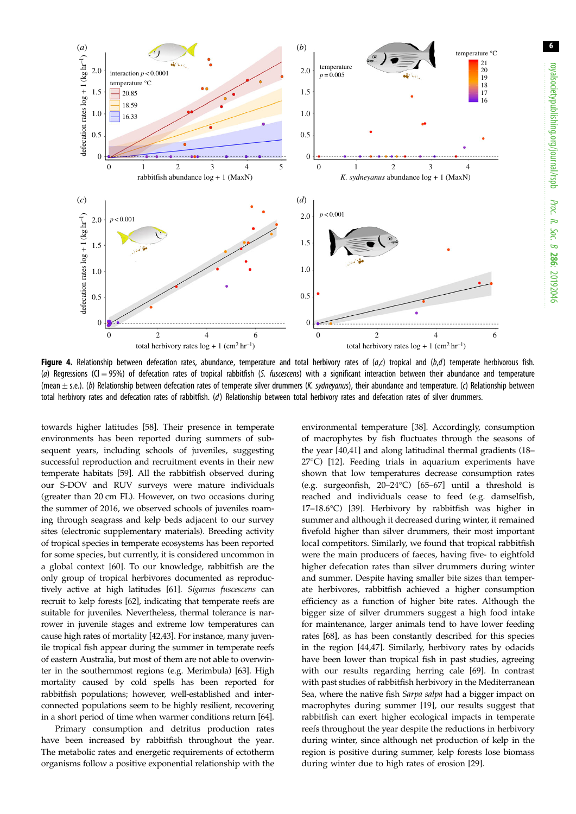<span id="page-5-0"></span>

Figure 4. Relationship between defecation rates, abundance, temperature and total herbivory rates of  $(a,c)$  tropical and  $(b,d)$  temperate herbivorous fish. (a) Regressions (CI = 95%) of defecation rates of tropical rabbitfish (S. fuscescens) with a significant interaction between their abundance and temperature (mean  $\pm$  s.e.). (b) Relationship between defecation rates of temperate silver drummers (K. sydneyanus), their abundance and temperature. (c) Relationship between total herbivory rates and defecation rates of rabbitfish. (d) Relationship between total herbivory rates and defecation rates of silver drummers.

towards higher latitudes [[58](#page-8-0)]. Their presence in temperate environments has been reported during summers of subsequent years, including schools of juveniles, suggesting successful reproduction and recruitment events in their new temperate habitats [\[59](#page-8-0)]. All the rabbitfish observed during our S-DOV and RUV surveys were mature individuals (greater than 20 cm FL). However, on two occasions during the summer of 2016, we observed schools of juveniles roaming through seagrass and kelp beds adjacent to our survey sites (electronic supplementary materials). Breeding activity of tropical species in temperate ecosystems has been reported for some species, but currently, it is considered uncommon in a global context [[60](#page-8-0)]. To our knowledge, rabbitfish are the only group of tropical herbivores documented as reproductively active at high latitudes [[61](#page-8-0)]. Siganus fuscescens can recruit to kelp forests [\[62\]](#page-8-0), indicating that temperate reefs are suitable for juveniles. Nevertheless, thermal tolerance is narrower in juvenile stages and extreme low temperatures can cause high rates of mortality [\[42,43\]](#page-7-0). For instance, many juvenile tropical fish appear during the summer in temperate reefs of eastern Australia, but most of them are not able to overwinter in the southernmost regions (e.g. Merimbula) [[63\]](#page-8-0). High mortality caused by cold spells has been reported for rabbitfish populations; however, well-established and interconnected populations seem to be highly resilient, recovering in a short period of time when warmer conditions return [[64](#page-8-0)].

Primary consumption and detritus production rates have been increased by rabbitfish throughout the year. The metabolic rates and energetic requirements of ectotherm organisms follow a positive exponential relationship with the environmental temperature [[38](#page-7-0)]. Accordingly, consumption of macrophytes by fish fluctuates through the seasons of the year [[40,41](#page-7-0)] and along latitudinal thermal gradients (18– 27°C) [\[12](#page-7-0)]. Feeding trials in aquarium experiments have shown that low temperatures decrease consumption rates (e.g. surgeonfish, 20–24°C) [[65](#page-8-0)–[67](#page-8-0)] until a threshold is reached and individuals cease to feed (e.g. damselfish, 17–18.6°C) [\[39](#page-7-0)]. Herbivory by rabbitfish was higher in summer and although it decreased during winter, it remained fivefold higher than silver drummers, their most important local competitors. Similarly, we found that tropical rabbitfish were the main producers of faeces, having five- to eightfold higher defecation rates than silver drummers during winter and summer. Despite having smaller bite sizes than temperate herbivores, rabbitfish achieved a higher consumption efficiency as a function of higher bite rates. Although the bigger size of silver drummers suggest a high food intake for maintenance, larger animals tend to have lower feeding rates [[68\]](#page-8-0), as has been constantly described for this species in the region [\[44](#page-7-0),[47\]](#page-8-0). Similarly, herbivory rates by odacids have been lower than tropical fish in past studies, agreeing with our results regarding herring cale [\[69](#page-8-0)]. In contrast with past studies of rabbitfish herbivory in the Mediterranean Sea, where the native fish Sarpa salpa had a bigger impact on macrophytes during summer [\[19](#page-7-0)], our results suggest that rabbitfish can exert higher ecological impacts in temperate reefs throughout the year despite the reductions in herbivory during winter, since although net production of kelp in the region is positive during summer, kelp forests lose biomass during winter due to high rates of erosion [[29\]](#page-7-0).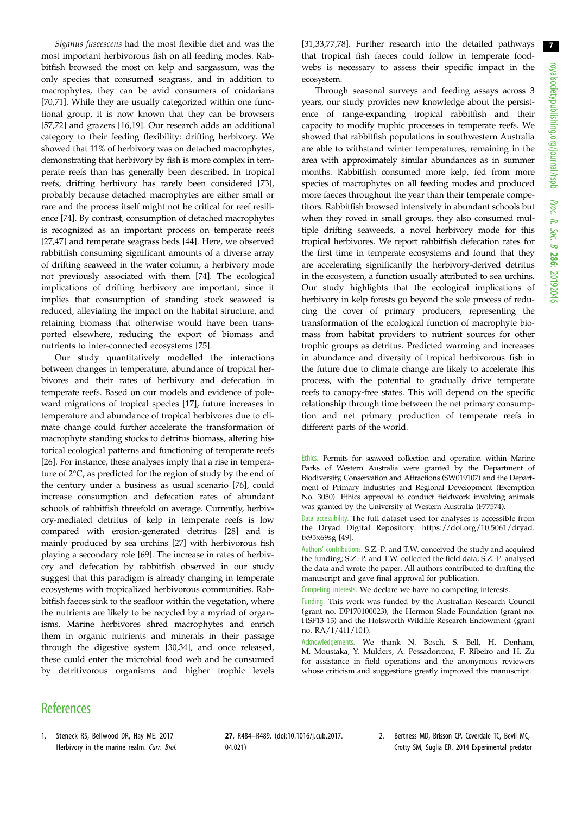<span id="page-6-0"></span>Siganus fuscescens had the most flexible diet and was the most important herbivorous fish on all feeding modes. Rabbitfish browsed the most on kelp and sargassum, was the only species that consumed seagrass, and in addition to macrophytes, they can be avid consumers of cnidarians [\[70](#page-8-0),[71\]](#page-8-0). While they are usually categorized within one functional group, it is now known that they can be browsers [\[57](#page-8-0),[72\]](#page-8-0) and grazers [[16,19](#page-7-0)]. Our research adds an additional category to their feeding flexibility: drifting herbivory. We showed that 11% of herbivory was on detached macrophytes, demonstrating that herbivory by fish is more complex in temperate reefs than has generally been described. In tropical reefs, drifting herbivory has rarely been considered [\[73](#page-8-0)], probably because detached macrophytes are either small or rare and the process itself might not be critical for reef resilience [\[74](#page-8-0)]. By contrast, consumption of detached macrophytes is recognized as an important process on temperate reefs [\[27](#page-7-0),[47\]](#page-8-0) and temperate seagrass beds [[44\]](#page-7-0). Here, we observed rabbitfish consuming significant amounts of a diverse array of drifting seaweed in the water column, a herbivory mode not previously associated with them [\[74](#page-8-0)]. The ecological implications of drifting herbivory are important, since it implies that consumption of standing stock seaweed is reduced, alleviating the impact on the habitat structure, and retaining biomass that otherwise would have been transported elsewhere, reducing the export of biomass and nutrients to inter-connected ecosystems [\[75](#page-8-0)].

Our study quantitatively modelled the interactions between changes in temperature, abundance of tropical herbivores and their rates of herbivory and defecation in temperate reefs. Based on our models and evidence of poleward migrations of tropical species [[17\]](#page-7-0), future increases in temperature and abundance of tropical herbivores due to climate change could further accelerate the transformation of macrophyte standing stocks to detritus biomass, altering historical ecological patterns and functioning of temperate reefs [\[26](#page-7-0)]. For instance, these analyses imply that a rise in temperature of 2°C, as predicted for the region of study by the end of the century under a business as usual scenario [\[76](#page-8-0)], could increase consumption and defecation rates of abundant schools of rabbitfish threefold on average. Currently, herbivory-mediated detritus of kelp in temperate reefs is low compared with erosion-generated detritus [[28\]](#page-7-0) and is mainly produced by sea urchins [[27\]](#page-7-0) with herbivorous fish playing a secondary role [\[69](#page-8-0)]. The increase in rates of herbivory and defecation by rabbitfish observed in our study suggest that this paradigm is already changing in temperate ecosystems with tropicalized herbivorous communities. Rabbitfish faeces sink to the seafloor within the vegetation, where the nutrients are likely to be recycled by a myriad of organisms. Marine herbivores shred macrophytes and enrich them in organic nutrients and minerals in their passage through the digestive system [[30,34\]](#page-7-0), and once released, these could enter the microbial food web and be consumed by detritivorous organisms and higher trophic levels [[31,33](#page-7-0)[,77,78](#page-8-0)]. Further research into the detailed pathways that tropical fish faeces could follow in temperate foodwebs is necessary to assess their specific impact in the ecosystem.

Through seasonal surveys and feeding assays across 3 years, our study provides new knowledge about the persistence of range-expanding tropical rabbitfish and their capacity to modify trophic processes in temperate reefs. We showed that rabbitfish populations in southwestern Australia are able to withstand winter temperatures, remaining in the area with approximately similar abundances as in summer months. Rabbitfish consumed more kelp, fed from more species of macrophytes on all feeding modes and produced more faeces throughout the year than their temperate competitors. Rabbitfish browsed intensively in abundant schools but when they roved in small groups, they also consumed multiple drifting seaweeds, a novel herbivory mode for this tropical herbivores. We report rabbitfish defecation rates for the first time in temperate ecosystems and found that they are accelerating significantly the herbivory-derived detritus in the ecosystem, a function usually attributed to sea urchins. Our study highlights that the ecological implications of herbivory in kelp forests go beyond the sole process of reducing the cover of primary producers, representing the transformation of the ecological function of macrophyte biomass from habitat providers to nutrient sources for other trophic groups as detritus. Predicted warming and increases in abundance and diversity of tropical herbivorous fish in the future due to climate change are likely to accelerate this process, with the potential to gradually drive temperate reefs to canopy-free states. This will depend on the specific relationship through time between the net primary consumption and net primary production of temperate reefs in different parts of the world.

Ethics. Permits for seaweed collection and operation within Marine Parks of Western Australia were granted by the Department of Biodiversity, Conservation and Attractions (SW019107) and the Department of Primary Industries and Regional Development (Exemption No. 3050). Ethics approval to conduct fieldwork involving animals was granted by the University of Western Australia (F77574).

Authors' contributions. S.Z.-P. and T.W. conceived the study and acquired the funding; S.Z.-P. and T.W. collected the field data; S.Z.-P. analysed the data and wrote the paper. All authors contributed to drafting the manuscript and gave final approval for publication.

Competing interests. We declare we have no competing interests.

Funding. This work was funded by the Australian Research Council (grant no. DP170100023); the Hermon Slade Foundation (grant no. HSF13-13) and the Holsworth Wildlife Research Endowment (grant no. RA/1/411/101).

Acknowledgements. We thank N. Bosch, S. Bell, H. Denham, M. Moustaka, Y. Mulders, A. Pessadorrona, F. Ribeiro and H. Zu for assistance in field operations and the anonymous reviewers whose criticism and suggestions greatly improved this manuscript.

# **References**

1. Steneck RS, Bellwood DR, Hay ME. 2017 Herbivory in the marine realm. Curr. Biol. 27, R484–R489. [\(doi:10.1016/j.cub.2017.](http://dx.doi.org/10.1016/j.cub.2017.04.021) [04.021](http://dx.doi.org/10.1016/j.cub.2017.04.021))

2. Bertness MD, Brisson CP, Coverdale TC, Bevil MC, Crotty SM, Suglia ER. 2014 Experimental predator

Data accessibility. The full dataset used for analyses is accessible from the Dryad Digital Repository: [https://doi.org/10.5061/dryad.](https://doi.org/10.5061/dryad.tx95x69sg) [tx95x69sg](https://doi.org/10.5061/dryad.tx95x69sg) [[49](#page-8-0)].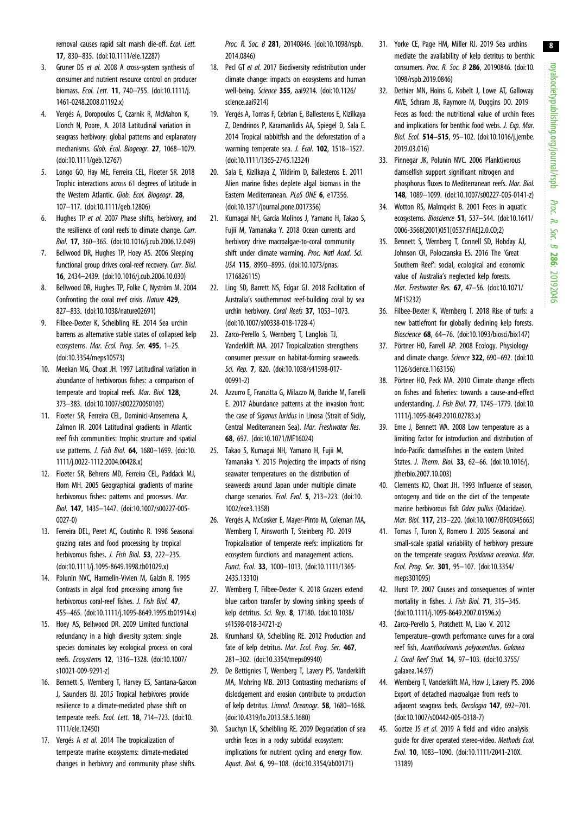<span id="page-7-0"></span>removal causes rapid salt marsh die-off. Ecol. Lett. 17, 830–835. ([doi:10.1111/ele.12287](http://dx.doi.org/10.1111/ele.12287))

- 3. Gruner DS et al. 2008 A cross-system synthesis of consumer and nutrient resource control on producer biomass. Ecol. Lett. 11, 740–755. ([doi:10.1111/j.](http://dx.doi.org/10.1111/j.1461-0248.2008.01192.x) [1461-0248.2008.01192.x\)](http://dx.doi.org/10.1111/j.1461-0248.2008.01192.x)
- 4. Vergés A, Doropoulos C, Czarnik R, McMahon K, Llonch N, Poore, A. 2018 Latitudinal variation in seagrass herbivory: global patterns and explanatory mechanisms. Glob. Ecol. Biogeogr. 27, 1068–1079. [\(doi:10.1111/geb.12767\)](http://dx.doi.org/10.1111/geb.12767)
- 5. Longo GO, Hay ME, Ferreira CEL, Floeter SR. 2018 Trophic interactions across 61 degrees of latitude in the Western Atlantic. Glob. Ecol. Biogeogr. 28, 107–117. ([doi:10.1111/geb.12806](http://dx.doi.org/10.1111/geb.12806))
- 6. Hughes TP et al. 2007 Phase shifts, herbivory, and the resilience of coral reefs to climate change. Curr. Biol. 17, 360–365. ([doi:10.1016/j.cub.2006.12.049\)](http://dx.doi.org/10.1016/j.cub.2006.12.049)
- 7. Bellwood DR, Hughes TP, Hoey AS. 2006 Sleeping functional group drives coral-reef recovery. Curr. Biol. 16, 2434–2439. [\(doi:10.1016/j.cub.2006.10.030\)](http://dx.doi.org/10.1016/j.cub.2006.10.030)
- 8. Bellwood DR, Hughes TP, Folke C, Nyström M. 2004 Confronting the coral reef crisis. Nature 429, 827–833. ([doi:10.1038/nature02691\)](http://dx.doi.org/10.1038/nature02691)
- 9. Filbee-Dexter K, Scheibling RE. 2014 Sea urchin barrens as alternative stable states of collapsed kelp ecosystems. Mar. Ecol. Prog. Ser. 495, 1–25. [\(doi:10.3354/meps10573\)](http://dx.doi.org/10.3354/meps10573)
- 10. Meekan MG, Choat JH. 1997 Latitudinal variation in abundance of herbivorous fishes: a comparison of temperate and tropical reefs. Mar. Biol. 128, 373–383. ([doi:10.1007/s002270050103](http://dx.doi.org/10.1007/s002270050103))
- 11. Floeter SR, Ferreira CEL, Dominici-Arosemena A, Zalmon IR. 2004 Latitudinal gradients in Atlantic reef fish communities: trophic structure and spatial use patterns. J. Fish Biol. 64, 1680–1699. [\(doi:10.](http://dx.doi.org/10.1111/j.0022-1112.2004.00428.x) [1111/j.0022-1112.2004.00428.x](http://dx.doi.org/10.1111/j.0022-1112.2004.00428.x))
- 12. Floeter SR, Behrens MD, Ferreira CEL, Paddack MJ, Horn MH. 2005 Geographical gradients of marine herbivorous fishes: patterns and processes. Mar. Biol. 147, 1435–1447. [\(doi:10.1007/s00227-005-](http://dx.doi.org/10.1007/s00227-005-0027-0) [0027-0](http://dx.doi.org/10.1007/s00227-005-0027-0))
- 13. Ferreira DEL, Peret AC, Coutinho R. 1998 Seasonal grazing rates and food processing by tropical herbivorous fishes. J. Fish Biol. 53, 222-235. [\(doi:10.1111/j.1095-8649.1998.tb01029.x\)](http://dx.doi.org/10.1111/j.1095-8649.1998.tb01029.x)
- 14. Polunin NVC, Harmelin-Vivien M, Galzin R. 1995 Contrasts in algal food processing among five herbivorous coral-reef fishes. J. Fish Biol. 47, 455–465. [\(doi:10.1111/j.1095-8649.1995.tb01914.x\)](http://dx.doi.org/10.1111/j.1095-8649.1995.tb01914.x)
- 15. Hoey AS, Bellwood DR. 2009 Limited functional redundancy in a high diversity system: single species dominates key ecological process on coral reefs. Ecosystems 12, 1316–1328. ([doi:10.1007/](http://dx.doi.org/10.1007/s10021-009-9291-z) [s10021-009-9291-z](http://dx.doi.org/10.1007/s10021-009-9291-z))
- 16. Bennett S, Wernberg T, Harvey ES, Santana-Garcon J, Saunders BJ. 2015 Tropical herbivores provide resilience to a climate-mediated phase shift on temperate reefs. Ecol. Lett. 18, 714-723. ([doi:10.](http://dx.doi.org/10.1111/ele.12450) [1111/ele.12450\)](http://dx.doi.org/10.1111/ele.12450)
- 17. Vergés A et al. 2014 The tropicalization of temperate marine ecosystems: climate-mediated changes in herbivory and community phase shifts.

Proc. R. Soc. B 281, 20140846. [\(doi:10.1098/rspb.](http://dx.doi.org/10.1098/rspb.2014.0846) [2014.0846\)](http://dx.doi.org/10.1098/rspb.2014.0846)

- 18. Pecl GT et al. 2017 Biodiversity redistribution under climate change: impacts on ecosystems and human well-being. Science 355, aai9214. [\(doi:10.1126/](http://dx.doi.org/10.1126/science.aai9214) [science.aai9214](http://dx.doi.org/10.1126/science.aai9214))
- 19. Vergés A, Tomas F, Cebrian E, Ballesteros E, Kizilkaya Z, Dendrinos P, Karamanlidis AA, Spiegel D, Sala E. 2014 Tropical rabbitfish and the deforestation of a warming temperate sea. J. Ecol. 102, 1518-1527. [\(doi:10.1111/1365-2745.12324\)](http://dx.doi.org/10.1111/1365-2745.12324)
- 20. Sala E, Kizilkaya Z, Yildirim D, Ballesteros E. 2011 Alien marine fishes deplete algal biomass in the Eastern Mediterranean. PLoS ONE 6, e17356. [\(doi:10.1371/journal.pone.0017356\)](http://dx.doi.org/10.1371/journal.pone.0017356)
- 21. Kumagai NH, García Molinos J, Yamano H, Takao S, Fujii M, Yamanaka Y. 2018 Ocean currents and herbivory drive macroalgae-to-coral community shift under climate warming. Proc. Natl Acad. Sci. USA 115, 8990–8995. ([doi:10.1073/pnas.](http://dx.doi.org/10.1073/pnas.1716826115) [1716826115\)](http://dx.doi.org/10.1073/pnas.1716826115)
- 22. Ling SD, Barrett NS, Edgar GJ. 2018 Facilitation of Australia's southernmost reef-building coral by sea urchin herbivory. Coral Reefs 37, 1053-1073. [\(doi:10.1007/s00338-018-1728-4](http://dx.doi.org/10.1007/s00338-018-1728-4))
- 23. Zarco-Perello S, Wernberg T, Langlois TJ, Vanderklift MA. 2017 Tropicalization strengthens consumer pressure on habitat-forming seaweeds. Sci. Rep. 7, 820. ([doi:10.1038/s41598-017-](http://dx.doi.org/10.1038/s41598-017-00991-2) [00991-2\)](http://dx.doi.org/10.1038/s41598-017-00991-2)
- 24. Azzurro E, Franzitta G, Milazzo M, Bariche M, Fanelli E. 2017 Abundance patterns at the invasion front: the case of Siganus luridus in Linosa (Strait of Sicily, Central Mediterranean Sea). Mar. Freshwater Res. 68, 697. [\(doi:10.1071/MF16024](http://dx.doi.org/10.1071/MF16024))
- 25. Takao S, Kumagai NH, Yamano H, Fujii M, Yamanaka Y. 2015 Projecting the impacts of rising seawater temperatures on the distribution of seaweeds around Japan under multiple climate change scenarios. Ecol. Evol. 5, 213–223. ([doi:10.](http://dx.doi.org/10.1002/ece3.1358) [1002/ece3.1358](http://dx.doi.org/10.1002/ece3.1358))
- 26. Vergés A, McCosker E, Mayer-Pinto M, Coleman MA, Wernberg T, Ainsworth T, Steinberg PD. 2019 Tropicalisation of temperate reefs: implications for ecosystem functions and management actions. Funct. Ecol. 33, 1000–1013. ([doi:10.1111/1365-](http://dx.doi.org/10.1111/1365-2435.13310) [2435.13310\)](http://dx.doi.org/10.1111/1365-2435.13310)
- 27. Wernberg T, Filbee-Dexter K. 2018 Grazers extend blue carbon transfer by slowing sinking speeds of kelp detritus. Sci. Rep. 8, 17180. [\(doi:10.1038/](http://dx.doi.org/10.1038/s41598-018-34721-z) [s41598-018-34721-z](http://dx.doi.org/10.1038/s41598-018-34721-z))
- 28. Krumhansl KA, Scheibling RE. 2012 Production and fate of kelp detritus. Mar. Ecol. Prog. Ser. 467, 281–302. ([doi:10.3354/meps09940\)](http://dx.doi.org/10.3354/meps09940)
- 29. De Bettignies T, Wernberg T, Lavery PS, Vanderklift MA, Mohring MB. 2013 Contrasting mechanisms of dislodgement and erosion contribute to production of kelp detritus. Limnol. Oceanogr. 58, 1680–1688. [\(doi:10.4319/lo.2013.58.5.1680\)](http://dx.doi.org/10.4319/lo.2013.58.5.1680)
- 30. Sauchyn LK, Scheibling RE. 2009 Degradation of sea urchin feces in a rocky subtidal ecosystem: implications for nutrient cycling and energy flow. Aquat. Biol. 6, 99–108. [\(doi:10.3354/ab00171](http://dx.doi.org/10.3354/ab00171))
- 31. Yorke CE, Page HM, Miller RJ. 2019 Sea urchins mediate the availability of kelp detritus to benthic consumers. Proc. R. Soc. B 286, 20190846. [\(doi:10.](http://dx.doi.org/10.1098/rspb.2019.0846) [1098/rspb.2019.0846\)](http://dx.doi.org/10.1098/rspb.2019.0846)
- 32. Dethier MN, Hoins G, Kobelt J, Lowe AT, Galloway AWE, Schram JB, Raymore M, Duggins DO. 2019 Feces as food: the nutritional value of urchin feces and implications for benthic food webs. J. Exp. Mar. Biol. Ecol. 514–515, 95–102. ([doi:10.1016/j.jembe.](http://dx.doi.org/10.1016/j.jembe.2019.03.016) [2019.03.016](http://dx.doi.org/10.1016/j.jembe.2019.03.016))
- 33. Pinnegar JK, Polunin NVC. 2006 Planktivorous damselfish support significant nitrogen and phosphorus fluxes to Mediterranean reefs. Mar. Biol. 148, 1089–1099. [\(doi:10.1007/s00227-005-0141-z\)](http://dx.doi.org/10.1007/s00227-005-0141-z)
- 34. Wotton RS, Malmqvist B. 2001 Feces in aquatic ecosystems. Bioscience 51, 537–544. ([doi:10.1641/](http://dx.doi.org/10.1641/0006-3568(2001)051[0537:FIAE]2.0.CO;2) [0006-3568\(2001\)051\[0537:FIAE\]2.0.CO;2\)](http://dx.doi.org/10.1641/0006-3568(2001)051[0537:FIAE]2.0.CO;2)
- 35. Bennett S, Wernberg T, Connell SD, Hobday AJ, Johnson CR, Poloczanska ES. 2016 The 'Great Southern Reef': social, ecological and economic value of Australia's neglected kelp forests. Mar. Freshwater Res. 67, 47–56. [\(doi:10.1071/](http://dx.doi.org/10.1071/MF15232) [MF15232](http://dx.doi.org/10.1071/MF15232))
- 36. Filbee-Dexter K, Wernberg T. 2018 Rise of turfs: a new battlefront for globally declining kelp forests. Bioscience 68, 64–76. ([doi:10.1093/biosci/bix147](http://dx.doi.org/10.1093/biosci/bix147))
- 37. Pörtner HO, Farrell AP. 2008 Ecology. Physiology and climate change. Science 322, 690–692. [\(doi:10.](http://dx.doi.org/10.1126/science.1163156) [1126/science.1163156](http://dx.doi.org/10.1126/science.1163156))
- 38. Pörtner HO, Peck MA. 2010 Climate change effects on fishes and fisheries: towards a cause-and-effect understanding. J. Fish Biol. 77, 1745–1779. [\(doi:10.](http://dx.doi.org/10.1111/j.1095-8649.2010.02783.x) [1111/j.1095-8649.2010.02783.x\)](http://dx.doi.org/10.1111/j.1095-8649.2010.02783.x)
- 39. Eme J, Bennett WA. 2008 Low temperature as a limiting factor for introduction and distribution of Indo-Pacific damselfishes in the eastern United States. J. Therm. Biol. 33, 62–66. [\(doi:10.1016/j.](http://dx.doi.org/10.1016/j.jtherbio.2007.10.003) itherbio.2007.10.003)
- 40. Clements KD, Choat JH. 1993 Influence of season, ontogeny and tide on the diet of the temperate marine herbivorous fish Odax pullus (Odacidae). Mar. Biol. 117, 213–220. [\(doi:10.1007/BF00345665](http://dx.doi.org/10.1007/BF00345665))
- 41. Tomas F, Turon X, Romero J. 2005 Seasonal and small-scale spatial variability of herbivory pressure on the temperate seagrass Posidonia oceanica. Mar. Ecol. Prog. Ser. 301, 95–107. ([doi:10.3354/](http://dx.doi.org/10.3354/meps301095) [meps301095\)](http://dx.doi.org/10.3354/meps301095)
- 42. Hurst TP. 2007 Causes and consequences of winter mortality in fishes. J. Fish Biol. 71, 315-345. ([doi:10.1111/j.1095-8649.2007.01596.x\)](http://dx.doi.org/10.1111/j.1095-8649.2007.01596.x)
- 43. Zarco-Perello S, Pratchett M, Liao V. 2012 Temperature–growth performance curves for a coral reef fish, Acanthochromis polyacanthus. Galaxea J. Coral Reef Stud. 14, 97–103. [\(doi:10.3755/](http://dx.doi.org/10.3755/galaxea.14.97) [galaxea.14.97\)](http://dx.doi.org/10.3755/galaxea.14.97)
- 44. Wernberg T, Vanderklift MA, How J, Lavery PS. 2006 Export of detached macroalgae from reefs to adiacent seagrass beds. Oecologia 147, 692-701. ([doi:10.1007/s00442-005-0318-7](http://dx.doi.org/10.1007/s00442-005-0318-7))
- 45. Goetze JS et al. 2019 A field and video analysis guide for diver operated stereo-video. Methods Ecol. Evol. 10, 1083–1090. ([doi:10.1111/2041-210X.](http://dx.doi.org/10.1111/2041-210X.13189) [13189\)](http://dx.doi.org/10.1111/2041-210X.13189)